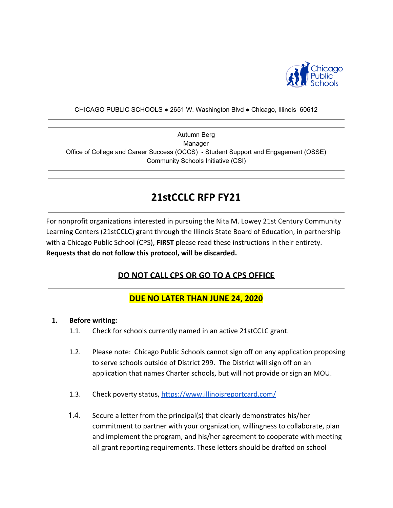

#### CHICAGO PUBLIC SCHOOLS ● 2651 W. Washington Blvd ● Chicago, Illinois 60612

Autumn Berg Manager Office of College and Career Success (OCCS) - Student Support and Engagement (OSSE) Community Schools Initiative (CSI)

# **21stCCLC RFP FY21**

For nonprofit organizations interested in pursuing the Nita M. Lowey 21st Century Community Learning Centers (21stCCLC) grant through the Illinois State Board of Education, in partnership with a Chicago Public School (CPS), **FIRST** please read these instructions in their entirety. **Requests that do not follow this protocol, will be discarded.**

# **DO NOT CALL CPS OR GO TO A CPS OFFICE**

# **DUE NO LATER THAN JUNE 24, 2020**

#### **1. Before writing:**

- 1.1. Check for schools currently named in an active 21stCCLC grant.
- 1.2. Please note: Chicago Public Schools cannot sign off on any application proposing to serve schools outside of District 299. The District will sign off on an application that names Charter schools, but will not provide or sign an MOU.
- 1.3. Check poverty status,<https://www.illinoisreportcard.com/>
- 1.4. Secure a letter from the principal(s) that clearly demonstrates his/her commitment to partner with your organization, willingness to collaborate, plan and implement the program, and his/her agreement to cooperate with meeting all grant reporting requirements. These letters should be drafted on school